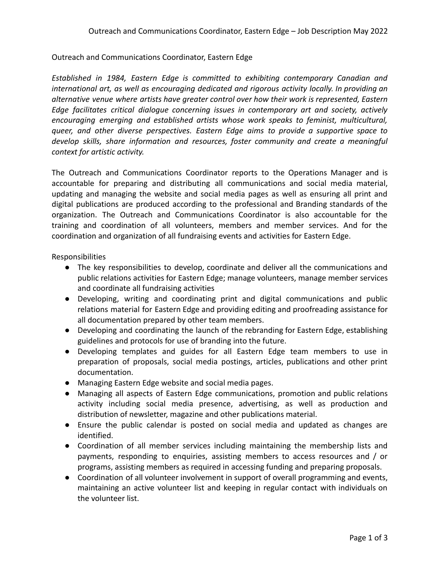## Outreach and Communications Coordinator, Eastern Edge

*Established in 1984, Eastern Edge is committed to exhibiting contemporary Canadian and international art, as well as encouraging dedicated and rigorous activity locally. In providing an alternative venue where artists have greater control over how their work is represented, Eastern Edge facilitates critical dialogue concerning issues in contemporary art and society, actively encouraging emerging and established artists whose work speaks to feminist, multicultural, queer, and other diverse perspectives. Eastern Edge aims to provide a supportive space to develop skills, share information and resources, foster community and create a meaningful context for artistic activity.*

The Outreach and Communications Coordinator reports to the Operations Manager and is accountable for preparing and distributing all communications and social media material, updating and managing the website and social media pages as well as ensuring all print and digital publications are produced according to the professional and Branding standards of the organization. The Outreach and Communications Coordinator is also accountable for the training and coordination of all volunteers, members and member services. And for the coordination and organization of all fundraising events and activities for Eastern Edge.

Responsibilities

- The key responsibilities to develop, coordinate and deliver all the communications and public relations activities for Eastern Edge; manage volunteers, manage member services and coordinate all fundraising activities
- Developing, writing and coordinating print and digital communications and public relations material for Eastern Edge and providing editing and proofreading assistance for all documentation prepared by other team members.
- Developing and coordinating the launch of the rebranding for Eastern Edge, establishing guidelines and protocols for use of branding into the future.
- Developing templates and guides for all Eastern Edge team members to use in preparation of proposals, social media postings, articles, publications and other print documentation.
- Managing Eastern Edge website and social media pages.
- Managing all aspects of Eastern Edge communications, promotion and public relations activity including social media presence, advertising, as well as production and distribution of newsletter, magazine and other publications material.
- Ensure the public calendar is posted on social media and updated as changes are identified.
- Coordination of all member services including maintaining the membership lists and payments, responding to enquiries, assisting members to access resources and / or programs, assisting members as required in accessing funding and preparing proposals.
- Coordination of all volunteer involvement in support of overall programming and events, maintaining an active volunteer list and keeping in regular contact with individuals on the volunteer list.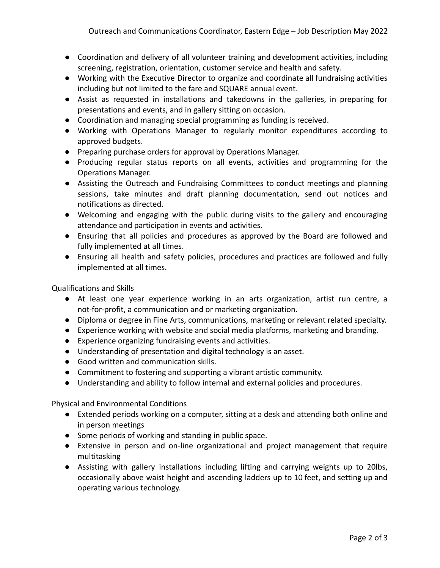- Coordination and delivery of all volunteer training and development activities, including screening, registration, orientation, customer service and health and safety.
- Working with the Executive Director to organize and coordinate all fundraising activities including but not limited to the fare and SQUARE annual event.
- Assist as requested in installations and takedowns in the galleries, in preparing for presentations and events, and in gallery sitting on occasion.
- Coordination and managing special programming as funding is received.
- Working with Operations Manager to regularly monitor expenditures according to approved budgets.
- Preparing purchase orders for approval by Operations Manager.
- Producing regular status reports on all events, activities and programming for the Operations Manager.
- Assisting the Outreach and Fundraising Committees to conduct meetings and planning sessions, take minutes and draft planning documentation, send out notices and notifications as directed.
- Welcoming and engaging with the public during visits to the gallery and encouraging attendance and participation in events and activities.
- Ensuring that all policies and procedures as approved by the Board are followed and fully implemented at all times.
- Ensuring all health and safety policies, procedures and practices are followed and fully implemented at all times.

Qualifications and Skills

- At least one year experience working in an arts organization, artist run centre, a not-for-profit, a communication and or marketing organization.
- Diploma or degree in Fine Arts, communications, marketing or relevant related specialty.
- Experience working with website and social media platforms, marketing and branding.
- Experience organizing fundraising events and activities.
- Understanding of presentation and digital technology is an asset.
- Good written and communication skills.
- Commitment to fostering and supporting a vibrant artistic community.
- Understanding and ability to follow internal and external policies and procedures.

Physical and Environmental Conditions

- Extended periods working on a computer, sitting at a desk and attending both online and in person meetings
- Some periods of working and standing in public space.
- Extensive in person and on-line organizational and project management that require multitasking
- Assisting with gallery installations including lifting and carrying weights up to 20lbs, occasionally above waist height and ascending ladders up to 10 feet, and setting up and operating various technology.